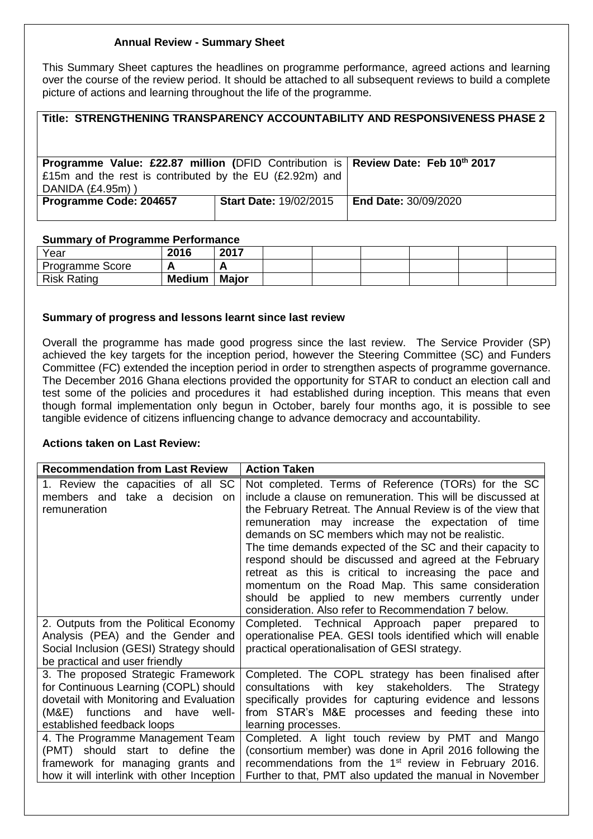# **Annual Review - Summary Sheet**

This Summary Sheet captures the headlines on programme performance, agreed actions and learning over the course of the review period. It should be attached to all subsequent reviews to build a complete picture of actions and learning throughout the life of the programme.

| Title: STRENGTHENING TRANSPARENCY ACCOUNTABILITY AND RESPONSIVENESS PHASE 2                                                                                     |                                                    |  |  |  |  |
|-----------------------------------------------------------------------------------------------------------------------------------------------------------------|----------------------------------------------------|--|--|--|--|
| Programme Value: £22.87 million (DFID Contribution is Review Date: Feb 10th 2017<br>£15m and the rest is contributed by the EU (£2.92m) and<br>DANIDA (£4.95m)) |                                                    |  |  |  |  |
| Programme Code: 204657                                                                                                                                          | <b>Start Date: 19/02/2015 End Date: 30/09/2020</b> |  |  |  |  |

#### **Summary of Programme Performance**

| Year                   | 2016          | 2017         |  |  |  |
|------------------------|---------------|--------------|--|--|--|
| <b>Programme Score</b> |               |              |  |  |  |
| <b>Risk Rating</b>     | <b>Medium</b> | <b>Major</b> |  |  |  |

## **Summary of progress and lessons learnt since last review**

Overall the programme has made good progress since the last review. The Service Provider (SP) achieved the key targets for the inception period, however the Steering Committee (SC) and Funders Committee (FC) extended the inception period in order to strengthen aspects of programme governance. The December 2016 Ghana elections provided the opportunity for STAR to conduct an election call and test some of the policies and procedures it had established during inception. This means that even though formal implementation only begun in October, barely four months ago, it is possible to see tangible evidence of citizens influencing change to advance democracy and accountability.

## **Actions taken on Last Review:**

| <b>Recommendation from Last Review</b>                                                                                                                                                     | <b>Action Taken</b>                                                                                                                                                                                                                                                                                                                                                                                                                                                                                                                                                                                                                           |
|--------------------------------------------------------------------------------------------------------------------------------------------------------------------------------------------|-----------------------------------------------------------------------------------------------------------------------------------------------------------------------------------------------------------------------------------------------------------------------------------------------------------------------------------------------------------------------------------------------------------------------------------------------------------------------------------------------------------------------------------------------------------------------------------------------------------------------------------------------|
| 1. Review the capacities of all<br><b>SC</b><br>members and take a decision<br>on<br>remuneration                                                                                          | Not completed. Terms of Reference (TORs) for the SC<br>include a clause on remuneration. This will be discussed at<br>the February Retreat. The Annual Review is of the view that<br>remuneration may increase the expectation of time<br>demands on SC members which may not be realistic.<br>The time demands expected of the SC and their capacity to<br>respond should be discussed and agreed at the February<br>retreat as this is critical to increasing the pace and<br>momentum on the Road Map. This same consideration<br>should be applied to new members currently under<br>consideration. Also refer to Recommendation 7 below. |
| 2. Outputs from the Political Economy<br>Analysis (PEA) and the Gender and<br>Social Inclusion (GESI) Strategy should<br>be practical and user friendly                                    | Completed. Technical Approach paper prepared to<br>operationalise PEA. GESI tools identified which will enable<br>practical operationalisation of GESI strategy.                                                                                                                                                                                                                                                                                                                                                                                                                                                                              |
| 3. The proposed Strategic Framework<br>for Continuous Learning (COPL) should<br>dovetail with Monitoring and Evaluation<br>(M&E) functions and have<br>well-<br>established feedback loops | Completed. The COPL strategy has been finalised after<br>with key stakeholders. The<br>consultations<br>Strategy<br>specifically provides for capturing evidence and lessons<br>from STAR's M&E processes and feeding these into<br>learning processes.                                                                                                                                                                                                                                                                                                                                                                                       |
| 4. The Programme Management Team<br>(PMT) should start to define<br>the<br>framework for managing grants and<br>how it will interlink with other Inception                                 | Completed. A light touch review by PMT and Mango<br>(consortium member) was done in April 2016 following the<br>recommendations from the 1 <sup>st</sup> review in February 2016.<br>Further to that, PMT also updated the manual in November                                                                                                                                                                                                                                                                                                                                                                                                 |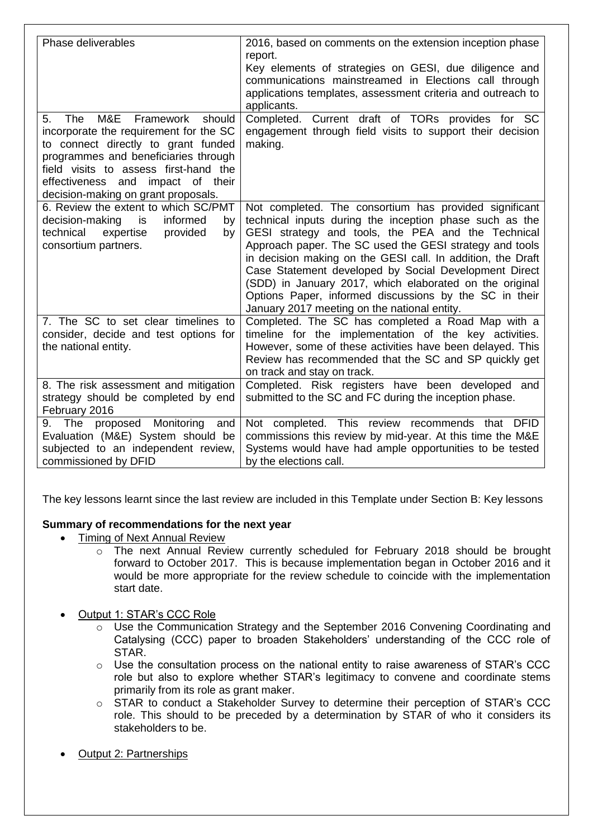| Phase deliverables                                                                                                                                                                                                                                                                    | 2016, based on comments on the extension inception phase<br>report.<br>Key elements of strategies on GESI, due diligence and<br>communications mainstreamed in Elections call through<br>applications templates, assessment criteria and outreach to                                                                                                                                                                                                                                                                            |
|---------------------------------------------------------------------------------------------------------------------------------------------------------------------------------------------------------------------------------------------------------------------------------------|---------------------------------------------------------------------------------------------------------------------------------------------------------------------------------------------------------------------------------------------------------------------------------------------------------------------------------------------------------------------------------------------------------------------------------------------------------------------------------------------------------------------------------|
| M&E<br>should<br>The<br>Framework<br>5.<br>incorporate the requirement for the SC<br>to connect directly to grant funded<br>programmes and beneficiaries through<br>field visits to assess first-hand the<br>effectiveness and impact of their<br>decision-making on grant proposals. | applicants.<br>Completed. Current draft of TORs provides for SC<br>engagement through field visits to support their decision<br>making.                                                                                                                                                                                                                                                                                                                                                                                         |
| 6. Review the extent to which SC/PMT<br>decision-making<br>informed<br>is<br>by<br>technical<br>provided<br>expertise<br>by<br>consortium partners.                                                                                                                                   | Not completed. The consortium has provided significant<br>technical inputs during the inception phase such as the<br>GESI strategy and tools, the PEA and the Technical<br>Approach paper. The SC used the GESI strategy and tools<br>in decision making on the GESI call. In addition, the Draft<br>Case Statement developed by Social Development Direct<br>(SDD) in January 2017, which elaborated on the original<br>Options Paper, informed discussions by the SC in their<br>January 2017 meeting on the national entity. |
| 7. The SC to set clear timelines to<br>consider, decide and test options for<br>the national entity.                                                                                                                                                                                  | Completed. The SC has completed a Road Map with a<br>timeline for the implementation of the key activities.<br>However, some of these activities have been delayed. This<br>Review has recommended that the SC and SP quickly get<br>on track and stay on track.                                                                                                                                                                                                                                                                |
| 8. The risk assessment and mitigation<br>strategy should be completed by end<br>February 2016                                                                                                                                                                                         | Completed. Risk registers have been developed and<br>submitted to the SC and FC during the inception phase.                                                                                                                                                                                                                                                                                                                                                                                                                     |
| The proposed Monitoring<br>and<br>9.<br>Evaluation (M&E) System should be<br>subjected to an independent review,<br>commissioned by DFID                                                                                                                                              | Not completed. This review recommends that DFID<br>commissions this review by mid-year. At this time the M&E<br>Systems would have had ample opportunities to be tested<br>by the elections call.                                                                                                                                                                                                                                                                                                                               |

The key lessons learnt since the last review are included in this Template under Section B: Key lessons

## **Summary of recommendations for the next year**

- Timing of Next Annual Review
	- o The next Annual Review currently scheduled for February 2018 should be brought forward to October 2017. This is because implementation began in October 2016 and it would be more appropriate for the review schedule to coincide with the implementation start date.
- Output 1: STAR's CCC Role
	- o Use the Communication Strategy and the September 2016 Convening Coordinating and Catalysing (CCC) paper to broaden Stakeholders' understanding of the CCC role of STAR.
	- $\circ$  Use the consultation process on the national entity to raise awareness of STAR's CCC role but also to explore whether STAR's legitimacy to convene and coordinate stems primarily from its role as grant maker.
	- o STAR to conduct a Stakeholder Survey to determine their perception of STAR's CCC role. This should to be preceded by a determination by STAR of who it considers its stakeholders to be.
- Output 2: Partnerships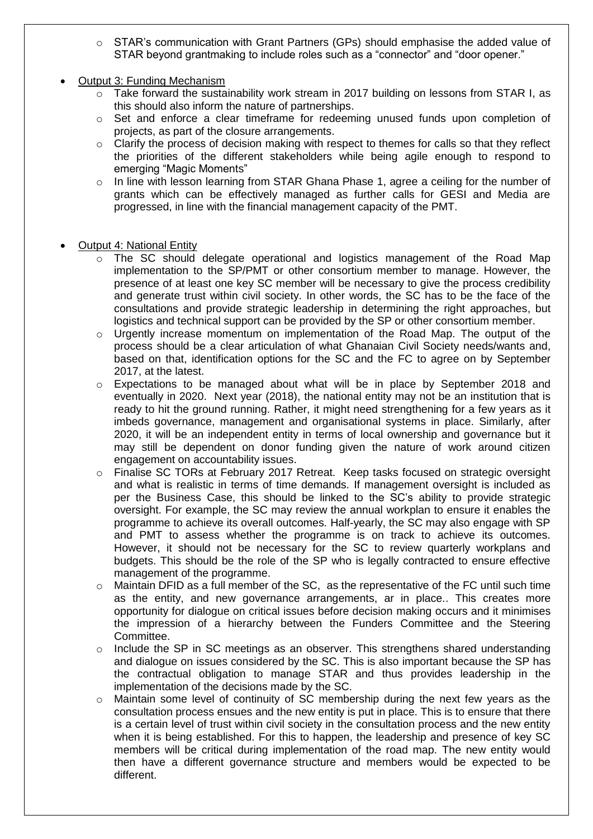- $\circ$  STAR's communication with Grant Partners (GPs) should emphasise the added value of STAR beyond grantmaking to include roles such as a "connector" and "door opener."
- Output 3: Funding Mechanism
	- o Take forward the sustainability work stream in 2017 building on lessons from STAR I, as this should also inform the nature of partnerships.
	- $\circ$  Set and enforce a clear timeframe for redeeming unused funds upon completion of projects, as part of the closure arrangements.
	- $\circ$  Clarify the process of decision making with respect to themes for calls so that they reflect the priorities of the different stakeholders while being agile enough to respond to emerging "Magic Moments"
	- $\circ$  In line with lesson learning from STAR Ghana Phase 1, agree a ceiling for the number of grants which can be effectively managed as further calls for GESI and Media are progressed, in line with the financial management capacity of the PMT.
- Output 4: National Entity
	- $\circ$  The SC should delegate operational and logistics management of the Road Map implementation to the SP/PMT or other consortium member to manage. However, the presence of at least one key SC member will be necessary to give the process credibility and generate trust within civil society. In other words, the SC has to be the face of the consultations and provide strategic leadership in determining the right approaches, but logistics and technical support can be provided by the SP or other consortium member.
	- o Urgently increase momentum on implementation of the Road Map. The output of the process should be a clear articulation of what Ghanaian Civil Society needs/wants and, based on that, identification options for the SC and the FC to agree on by September 2017, at the latest.
	- $\circ$  Expectations to be managed about what will be in place by September 2018 and eventually in 2020. Next year (2018), the national entity may not be an institution that is ready to hit the ground running. Rather, it might need strengthening for a few years as it imbeds governance, management and organisational systems in place. Similarly, after 2020, it will be an independent entity in terms of local ownership and governance but it may still be dependent on donor funding given the nature of work around citizen engagement on accountability issues.
	- o Finalise SC TORs at February 2017 Retreat. Keep tasks focused on strategic oversight and what is realistic in terms of time demands. If management oversight is included as per the Business Case, this should be linked to the SC's ability to provide strategic oversight. For example, the SC may review the annual workplan to ensure it enables the programme to achieve its overall outcomes. Half-yearly, the SC may also engage with SP and PMT to assess whether the programme is on track to achieve its outcomes. However, it should not be necessary for the SC to review quarterly workplans and budgets. This should be the role of the SP who is legally contracted to ensure effective management of the programme.
	- $\circ$  Maintain DFID as a full member of the SC, as the representative of the FC until such time as the entity, and new governance arrangements, ar in place.. This creates more opportunity for dialogue on critical issues before decision making occurs and it minimises the impression of a hierarchy between the Funders Committee and the Steering Committee.
	- o Include the SP in SC meetings as an observer. This strengthens shared understanding and dialogue on issues considered by the SC. This is also important because the SP has the contractual obligation to manage STAR and thus provides leadership in the implementation of the decisions made by the SC.
	- o Maintain some level of continuity of SC membership during the next few years as the consultation process ensues and the new entity is put in place. This is to ensure that there is a certain level of trust within civil society in the consultation process and the new entity when it is being established. For this to happen, the leadership and presence of key SC members will be critical during implementation of the road map. The new entity would then have a different governance structure and members would be expected to be different.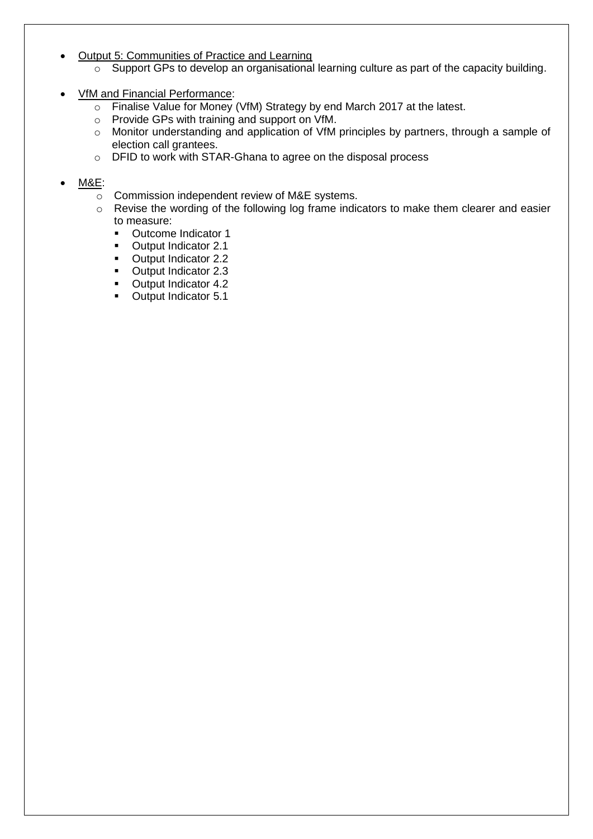# Output 5: Communities of Practice and Learning

- o Support GPs to develop an organisational learning culture as part of the capacity building.
- VfM and Financial Performance:
	- o Finalise Value for Money (VfM) Strategy by end March 2017 at the latest.
	- o Provide GPs with training and support on VfM.
	- o Monitor understanding and application of VfM principles by partners, through a sample of election call grantees.
	- o DFID to work with STAR-Ghana to agree on the disposal process

# M&E:

- o Commission independent review of M&E systems.
- o Revise the wording of the following log frame indicators to make them clearer and easier to measure:
	- **•** Outcome Indicator 1
	- **•** Output Indicator 2.1
	- **•** Output Indicator 2.2
	- Output Indicator 2.3
	- **•** Output Indicator 4.2
	- **•** Output Indicator 5.1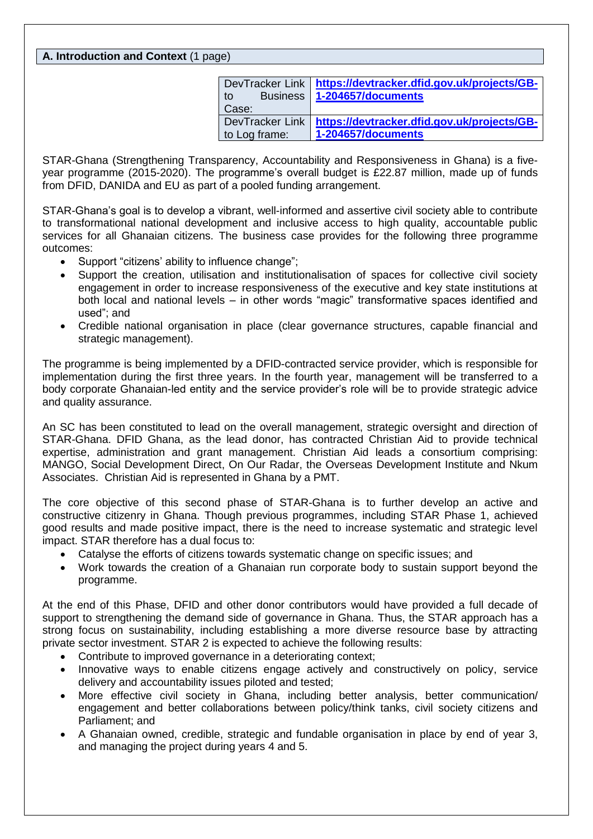# **A. Introduction and Context** (1 page)

| DevTracker Link       | https://devtracker.dfid.gov.uk/projects/GB- |
|-----------------------|---------------------------------------------|
| <b>Business</b><br>to | $1-204657$ /documents                       |
| Case:                 |                                             |
| DevTracker Link       | https://devtracker.dfid.gov.uk/projects/GB- |
| to Log frame:         | 1-204657/documents                          |

STAR-Ghana (Strengthening Transparency, Accountability and Responsiveness in Ghana) is a fiveyear programme (2015-2020). The programme's overall budget is £22.87 million, made up of funds from DFID, DANIDA and EU as part of a pooled funding arrangement.

STAR-Ghana's goal is to develop a vibrant, well-informed and assertive civil society able to contribute to transformational national development and inclusive access to high quality, accountable public services for all Ghanaian citizens. The business case provides for the following three programme outcomes:

- Support "citizens' ability to influence change":
- Support the creation, utilisation and institutionalisation of spaces for collective civil society engagement in order to increase responsiveness of the executive and key state institutions at both local and national levels – in other words "magic" transformative spaces identified and used"; and
- Credible national organisation in place (clear governance structures, capable financial and strategic management).

The programme is being implemented by a DFID-contracted service provider, which is responsible for implementation during the first three years. In the fourth year, management will be transferred to a body corporate Ghanaian-led entity and the service provider's role will be to provide strategic advice and quality assurance.

An SC has been constituted to lead on the overall management, strategic oversight and direction of STAR-Ghana. DFID Ghana, as the lead donor, has contracted Christian Aid to provide technical expertise, administration and grant management. Christian Aid leads a consortium comprising: MANGO, Social Development Direct, On Our Radar, the Overseas Development Institute and Nkum Associates. Christian Aid is represented in Ghana by a PMT.

The core objective of this second phase of STAR-Ghana is to further develop an active and constructive citizenry in Ghana. Though previous programmes, including STAR Phase 1, achieved good results and made positive impact, there is the need to increase systematic and strategic level impact. STAR therefore has a dual focus to:

- Catalyse the efforts of citizens towards systematic change on specific issues; and
- Work towards the creation of a Ghanaian run corporate body to sustain support beyond the programme.

At the end of this Phase, DFID and other donor contributors would have provided a full decade of support to strengthening the demand side of governance in Ghana. Thus, the STAR approach has a strong focus on sustainability, including establishing a more diverse resource base by attracting private sector investment. STAR 2 is expected to achieve the following results:

- Contribute to improved governance in a deteriorating context;
- Innovative ways to enable citizens engage actively and constructively on policy, service delivery and accountability issues piloted and tested;
- More effective civil society in Ghana, including better analysis, better communication/ engagement and better collaborations between policy/think tanks, civil society citizens and Parliament; and
- A Ghanaian owned, credible, strategic and fundable organisation in place by end of year 3, and managing the project during years 4 and 5.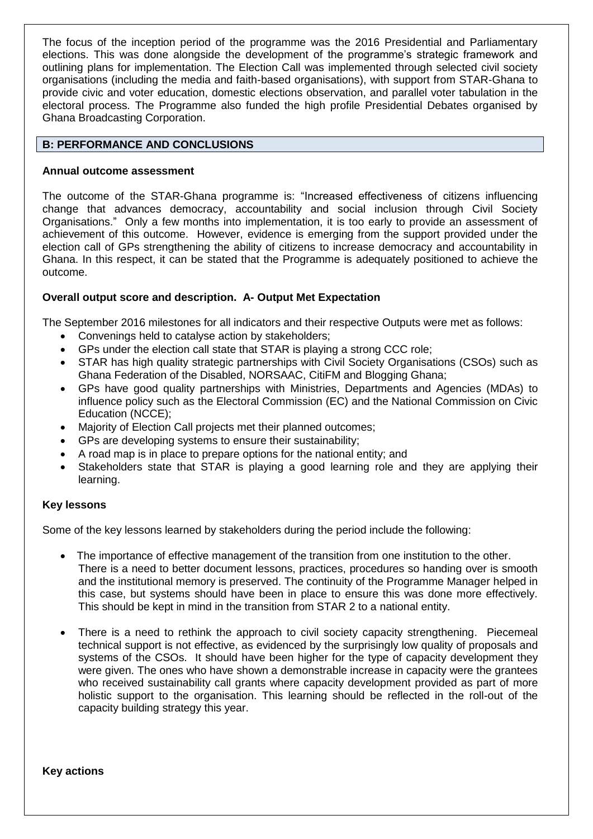The focus of the inception period of the programme was the 2016 Presidential and Parliamentary elections. This was done alongside the development of the programme's strategic framework and outlining plans for implementation. The Election Call was implemented through selected civil society organisations (including the media and faith-based organisations), with support from STAR-Ghana to provide civic and voter education, domestic elections observation, and parallel voter tabulation in the electoral process. The Programme also funded the high profile Presidential Debates organised by Ghana Broadcasting Corporation.

## **B: PERFORMANCE AND CONCLUSIONS**

## **Annual outcome assessment**

The outcome of the STAR-Ghana programme is: "Increased effectiveness of citizens influencing change that advances democracy, accountability and social inclusion through Civil Society Organisations." Only a few months into implementation, it is too early to provide an assessment of achievement of this outcome. However, evidence is emerging from the support provided under the election call of GPs strengthening the ability of citizens to increase democracy and accountability in Ghana. In this respect, it can be stated that the Programme is adequately positioned to achieve the outcome.

# **Overall output score and description. A- Output Met Expectation**

The September 2016 milestones for all indicators and their respective Outputs were met as follows:

- Convenings held to catalyse action by stakeholders;
- GPs under the election call state that STAR is playing a strong CCC role;
- STAR has high quality strategic partnerships with Civil Society Organisations (CSOs) such as Ghana Federation of the Disabled, NORSAAC, CitiFM and Blogging Ghana;
- GPs have good quality partnerships with Ministries, Departments and Agencies (MDAs) to influence policy such as the Electoral Commission (EC) and the National Commission on Civic Education (NCCE);
- Majority of Election Call projects met their planned outcomes;
- GPs are developing systems to ensure their sustainability;
- A road map is in place to prepare options for the national entity; and
- Stakeholders state that STAR is playing a good learning role and they are applying their learning.

## **Key lessons**

Some of the key lessons learned by stakeholders during the period include the following:

- The importance of effective management of the transition from one institution to the other. There is a need to better document lessons, practices, procedures so handing over is smooth and the institutional memory is preserved. The continuity of the Programme Manager helped in this case, but systems should have been in place to ensure this was done more effectively. This should be kept in mind in the transition from STAR 2 to a national entity.
- There is a need to rethink the approach to civil society capacity strengthening. Piecemeal technical support is not effective, as evidenced by the surprisingly low quality of proposals and systems of the CSOs. It should have been higher for the type of capacity development they were given. The ones who have shown a demonstrable increase in capacity were the grantees who received sustainability call grants where capacity development provided as part of more holistic support to the organisation. This learning should be reflected in the roll-out of the capacity building strategy this year.

**Key actions**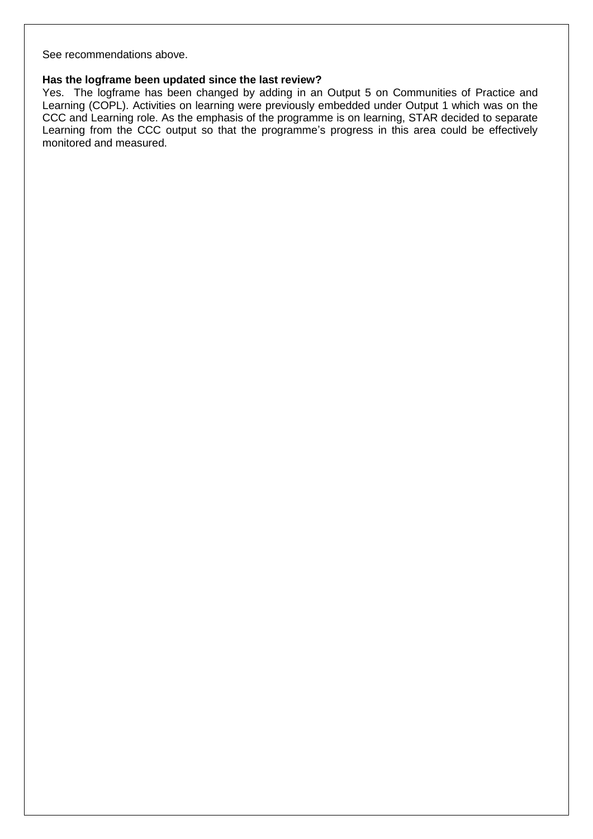See recommendations above.

## **Has the logframe been updated since the last review?**

Yes. The logframe has been changed by adding in an Output 5 on Communities of Practice and Learning (COPL). Activities on learning were previously embedded under Output 1 which was on the CCC and Learning role. As the emphasis of the programme is on learning, STAR decided to separate Learning from the CCC output so that the programme's progress in this area could be effectively monitored and measured.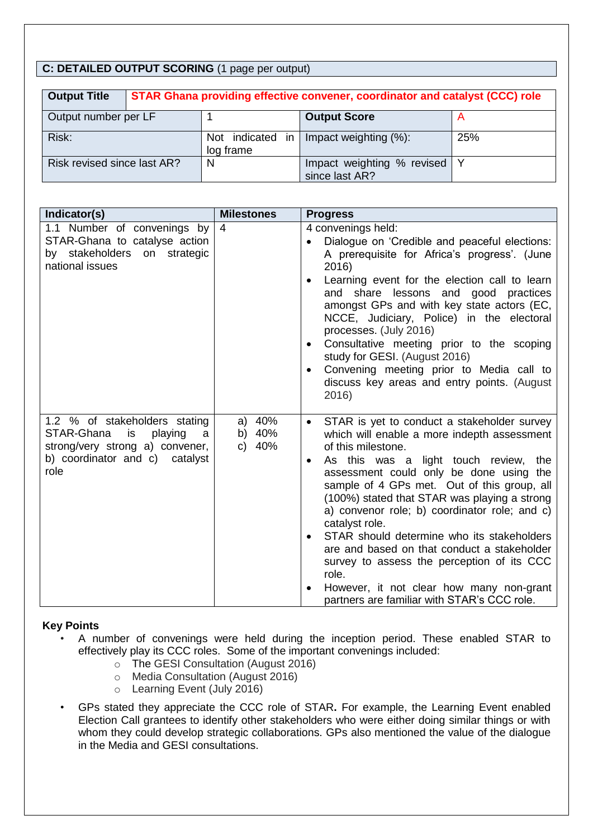# **C: DETAILED OUTPUT SCORING** (1 page per output)

| <b>Output Title</b>         | STAR Ghana providing effective convener, coordinator and catalyst (CCC) role |                               |                                                  |     |  |
|-----------------------------|------------------------------------------------------------------------------|-------------------------------|--------------------------------------------------|-----|--|
| Output number per LF        |                                                                              |                               | <b>Output Score</b>                              |     |  |
| Risk:                       |                                                                              | Not indicated in<br>log frame | Impact weighting (%):                            | 25% |  |
| Risk revised since last AR? |                                                                              | N                             | Impact weighting % revised   Y<br>since last AR? |     |  |

| Indicator(s)                                                                                                                                   | <b>Milestones</b>                | <b>Progress</b>                                                                                                                                                                                                                                                                                                                                                                                                                                                                                                                                                                                                                                    |
|------------------------------------------------------------------------------------------------------------------------------------------------|----------------------------------|----------------------------------------------------------------------------------------------------------------------------------------------------------------------------------------------------------------------------------------------------------------------------------------------------------------------------------------------------------------------------------------------------------------------------------------------------------------------------------------------------------------------------------------------------------------------------------------------------------------------------------------------------|
| 1.1 Number of convenings by<br>STAR-Ghana to catalyse action<br>by stakeholders on<br>strategic<br>national issues                             | 4                                | 4 convenings held:<br>Dialogue on 'Credible and peaceful elections:<br>A prerequisite for Africa's progress'. (June<br>2016)<br>Learning event for the election call to learn<br>and share lessons and good practices<br>amongst GPs and with key state actors (EC,<br>NCCE, Judiciary, Police) in the electoral<br>processes. (July 2016)<br>Consultative meeting prior to the scoping<br>study for GESI. (August 2016)<br>Convening meeting prior to Media call to<br>discuss key areas and entry points. (August<br>2016)                                                                                                                       |
| 1.2 % of stakeholders stating<br>STAR-Ghana<br>playing<br>is<br>a<br>strong/very strong a) convener,<br>b) coordinator and c) catalyst<br>role | 40%<br>a)<br>b) 40%<br>40%<br>C) | STAR is yet to conduct a stakeholder survey<br>$\bullet$<br>which will enable a more indepth assessment<br>of this milestone.<br>As this was a light touch review,<br>the<br>$\bullet$<br>assessment could only be done using the<br>sample of 4 GPs met. Out of this group, all<br>(100%) stated that STAR was playing a strong<br>a) convenor role; b) coordinator role; and c)<br>catalyst role.<br>STAR should determine who its stakeholders<br>are and based on that conduct a stakeholder<br>survey to assess the perception of its CCC<br>role.<br>However, it not clear how many non-grant<br>partners are familiar with STAR's CCC role. |

## **Key Points**

- A number of convenings were held during the inception period. These enabled STAR to effectively play its CCC roles. Some of the important convenings included:
	- o The GESI Consultation (August 2016)
	- o Media Consultation (August 2016)
	- o Learning Event (July 2016)
- GPs stated they appreciate the CCC role of STAR**.** For example, the Learning Event enabled Election Call grantees to identify other stakeholders who were either doing similar things or with whom they could develop strategic collaborations. GPs also mentioned the value of the dialogue in the Media and GESI consultations.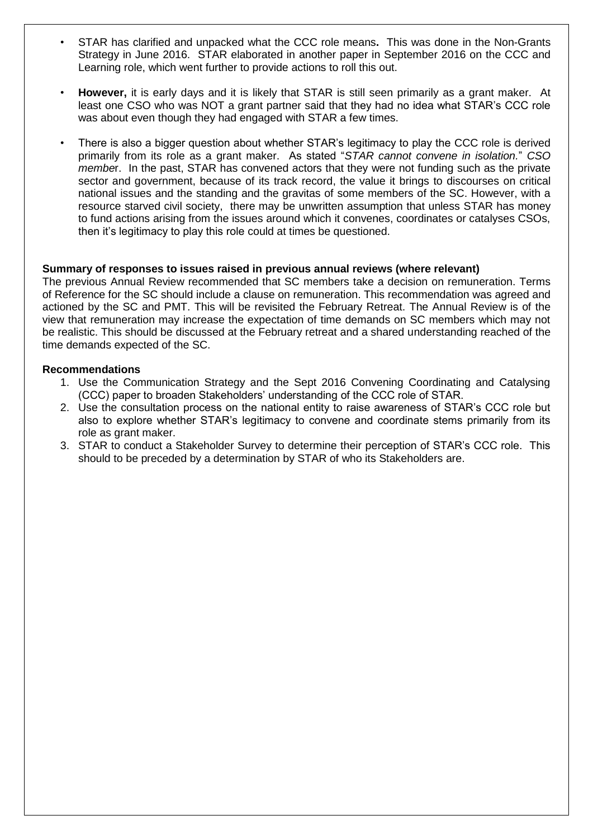- STAR has clarified and unpacked what the CCC role means**.** This was done in the Non-Grants Strategy in June 2016. STAR elaborated in another paper in September 2016 on the CCC and Learning role, which went further to provide actions to roll this out.
- **However,** it is early days and it is likely that STAR is still seen primarily as a grant maker. At least one CSO who was NOT a grant partner said that they had no idea what STAR's CCC role was about even though they had engaged with STAR a few times.
- There is also a bigger question about whether STAR's legitimacy to play the CCC role is derived primarily from its role as a grant maker. As stated "*STAR cannot convene in isolation.*" *CSO membe*r. In the past, STAR has convened actors that they were not funding such as the private sector and government, because of its track record, the value it brings to discourses on critical national issues and the standing and the gravitas of some members of the SC. However, with a resource starved civil society, there may be unwritten assumption that unless STAR has money to fund actions arising from the issues around which it convenes, coordinates or catalyses CSOs, then it's legitimacy to play this role could at times be questioned.

#### **Summary of responses to issues raised in previous annual reviews (where relevant)**

The previous Annual Review recommended that SC members take a decision on remuneration. Terms of Reference for the SC should include a clause on remuneration. This recommendation was agreed and actioned by the SC and PMT. This will be revisited the February Retreat. The Annual Review is of the view that remuneration may increase the expectation of time demands on SC members which may not be realistic. This should be discussed at the February retreat and a shared understanding reached of the time demands expected of the SC.

#### **Recommendations**

- 1. Use the Communication Strategy and the Sept 2016 Convening Coordinating and Catalysing (CCC) paper to broaden Stakeholders' understanding of the CCC role of STAR.
- 2. Use the consultation process on the national entity to raise awareness of STAR's CCC role but also to explore whether STAR's legitimacy to convene and coordinate stems primarily from its role as grant maker.
- 3. STAR to conduct a Stakeholder Survey to determine their perception of STAR's CCC role. This should to be preceded by a determination by STAR of who its Stakeholders are.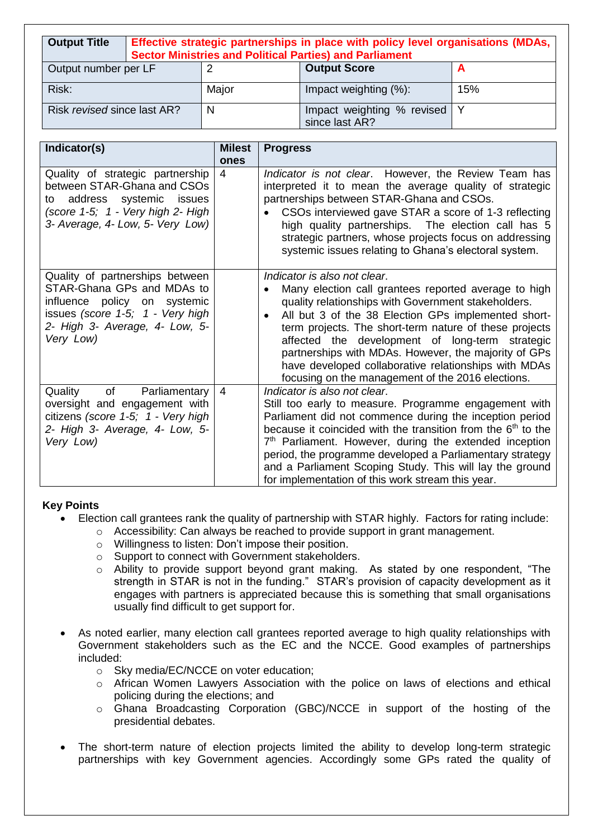| <b>Output Title</b>         | Effective strategic partnerships in place with policy level organisations (MDAs,<br><b>Sector Ministries and Political Parties) and Parliament</b> |       |                                                  |     |
|-----------------------------|----------------------------------------------------------------------------------------------------------------------------------------------------|-------|--------------------------------------------------|-----|
| Output number per LF<br>2   |                                                                                                                                                    |       | <b>Output Score</b>                              |     |
| Risk:                       |                                                                                                                                                    | Major | Impact weighting (%):                            | 15% |
| Risk revised since last AR? |                                                                                                                                                    | N     | Impact weighting % revised   Y<br>since last AR? |     |

| Indicator(s)                                                                                                                                                                     | <b>Milest</b>  | <b>Progress</b>                                                                                                                                                                                                                                                                                                                                                                                                                                                                                   |
|----------------------------------------------------------------------------------------------------------------------------------------------------------------------------------|----------------|---------------------------------------------------------------------------------------------------------------------------------------------------------------------------------------------------------------------------------------------------------------------------------------------------------------------------------------------------------------------------------------------------------------------------------------------------------------------------------------------------|
|                                                                                                                                                                                  | ones           |                                                                                                                                                                                                                                                                                                                                                                                                                                                                                                   |
| Quality of strategic partnership<br>between STAR-Ghana and CSOs<br>to address systemic issues<br>(score 1-5; 1 - Very high 2- High<br>3- Average, 4- Low, 5- Very Low)           | 4              | Indicator is not clear. However, the Review Team has<br>interpreted it to mean the average quality of strategic<br>partnerships between STAR-Ghana and CSOs.<br>CSOs interviewed gave STAR a score of 1-3 reflecting<br>high quality partnerships. The election call has 5<br>strategic partners, whose projects focus on addressing<br>systemic issues relating to Ghana's electoral system.                                                                                                     |
| Quality of partnerships between<br>STAR-Ghana GPs and MDAs to<br>influence policy on systemic<br>issues (score 1-5; 1 - Very high<br>2- High 3- Average, 4- Low, 5-<br>Very Low) |                | Indicator is also not clear.<br>Many election call grantees reported average to high<br>$\bullet$<br>quality relationships with Government stakeholders.<br>All but 3 of the 38 Election GPs implemented short-<br>term projects. The short-term nature of these projects<br>affected the development of long-term strategic<br>partnerships with MDAs. However, the majority of GPs<br>have developed collaborative relationships with MDAs<br>focusing on the management of the 2016 elections. |
| of<br>Parliamentary<br>Quality<br>oversight and engagement with<br>citizens (score 1-5; 1 - Very high<br>2- High 3- Average, 4- Low, 5-<br>Very Low)                             | $\overline{4}$ | Indicator is also not clear.<br>Still too early to measure. Programme engagement with<br>Parliament did not commence during the inception period<br>because it coincided with the transition from the $6th$ to the<br>7 <sup>th</sup> Parliament. However, during the extended inception<br>period, the programme developed a Parliamentary strategy<br>and a Parliament Scoping Study. This will lay the ground<br>for implementation of this work stream this year.                             |

# **Key Points**

- Election call grantees rank the quality of partnership with STAR highly. Factors for rating include:
	- o Accessibility: Can always be reached to provide support in grant management.
	- o Willingness to listen: Don't impose their position.
	- o Support to connect with Government stakeholders.
	- o Ability to provide support beyond grant making. As stated by one respondent, "The strength in STAR is not in the funding." STAR's provision of capacity development as it engages with partners is appreciated because this is something that small organisations usually find difficult to get support for.
- As noted earlier, many election call grantees reported average to high quality relationships with Government stakeholders such as the EC and the NCCE. Good examples of partnerships included:
	- o Sky media/EC/NCCE on voter education;
	- o African Women Lawyers Association with the police on laws of elections and ethical policing during the elections; and
	- o Ghana Broadcasting Corporation (GBC)/NCCE in support of the hosting of the presidential debates.
- The short-term nature of election projects limited the ability to develop long-term strategic partnerships with key Government agencies. Accordingly some GPs rated the quality of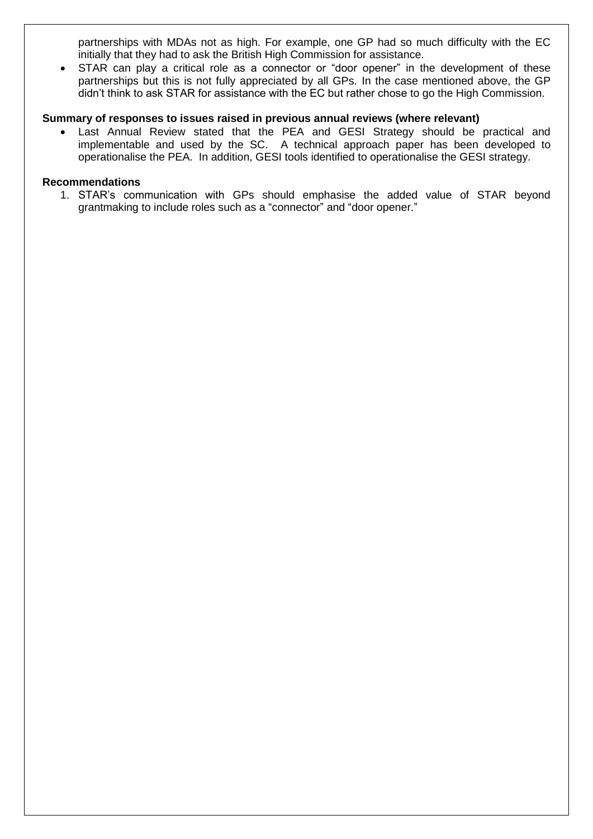partnerships with MDAs not as high. For example, one GP had so much difficulty with the EC initially that they had to ask the British High Commission for assistance.

 STAR can play a critical role as a connector or "door opener" in the development of these partnerships but this is not fully appreciated by all GPs. In the case mentioned above, the GP didn't think to ask STAR for assistance with the EC but rather chose to go the High Commission.

#### **Summary of responses to issues raised in previous annual reviews (where relevant)**

 Last Annual Review stated that the PEA and GESI Strategy should be practical and implementable and used by the SC. A technical approach paper has been developed to operationalise the PEA. In addition, GESI tools identified to operationalise the GESI strategy.

#### **Recommendations**

1. STAR's communication with GPs should emphasise the added value of STAR beyond grantmaking to include roles such as a "connector" and "door opener."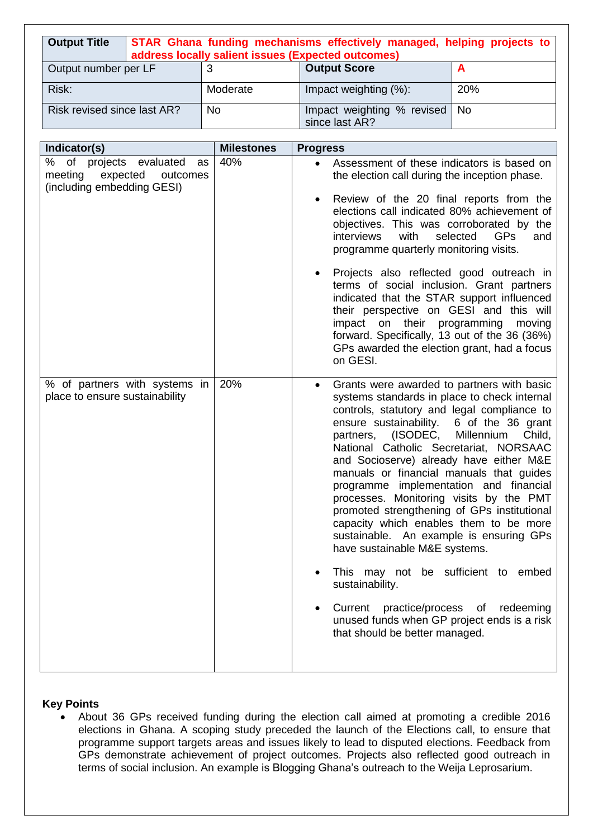| <b>Output Title</b>         | STAR Ghana funding mechanisms effectively managed, helping projects to<br>address locally salient issues (Expected outcomes) |          |                                                   |     |  |
|-----------------------------|------------------------------------------------------------------------------------------------------------------------------|----------|---------------------------------------------------|-----|--|
| Output number per LF        |                                                                                                                              |          | <b>Output Score</b>                               |     |  |
| Risk:                       |                                                                                                                              | Moderate | Impact weighting (%):                             | 20% |  |
| Risk revised since last AR? |                                                                                                                              | No       | Impact weighting % revised   No<br>since last AR? |     |  |

| Indicator(s)                                                                                      | <b>Milestones</b> | <b>Progress</b>                                                                                                                                                                                                                                                                                                                                                                                                                                                                                                                                                                                                                                                                                                                                                                                                               |
|---------------------------------------------------------------------------------------------------|-------------------|-------------------------------------------------------------------------------------------------------------------------------------------------------------------------------------------------------------------------------------------------------------------------------------------------------------------------------------------------------------------------------------------------------------------------------------------------------------------------------------------------------------------------------------------------------------------------------------------------------------------------------------------------------------------------------------------------------------------------------------------------------------------------------------------------------------------------------|
| of projects evaluated<br>℅<br>as<br>expected<br>meeting<br>outcomes<br>(including embedding GESI) | 40%               | Assessment of these indicators is based on<br>$\bullet$<br>the election call during the inception phase.<br>Review of the 20 final reports from the<br>elections call indicated 80% achievement of<br>objectives. This was corroborated by the<br>with<br>selected<br><b>GPs</b><br>interviews<br>and<br>programme quarterly monitoring visits.<br>Projects also reflected good outreach in<br>٠<br>terms of social inclusion. Grant partners<br>indicated that the STAR support influenced<br>their perspective on GESI and this will<br>impact on their programming<br>moving<br>forward. Specifically, 13 out of the 36 (36%)<br>GPs awarded the election grant, had a focus<br>on GESI.                                                                                                                                   |
| % of partners with systems in<br>place to ensure sustainability                                   | 20%               | Grants were awarded to partners with basic<br>٠<br>systems standards in place to check internal<br>controls, statutory and legal compliance to<br>ensure sustainability.<br>6 of the 36 grant<br>partners, (ISODEC,<br>Millennium<br>Child,<br>National Catholic Secretariat, NORSAAC<br>and Socioserve) already have either M&E<br>manuals or financial manuals that guides<br>programme implementation and financial<br>processes. Monitoring visits by the PMT<br>promoted strengthening of GPs institutional<br>capacity which enables them to be more<br>sustainable. An example is ensuring GPs<br>have sustainable M&E systems.<br>This may not be sufficient to embed<br>sustainability.<br>practice/process of redeeming<br>Current<br>unused funds when GP project ends is a risk<br>that should be better managed. |

# **Key Points**

 About 36 GPs received funding during the election call aimed at promoting a credible 2016 elections in Ghana. A scoping study preceded the launch of the Elections call, to ensure that programme support targets areas and issues likely to lead to disputed elections. Feedback from GPs demonstrate achievement of project outcomes. Projects also reflected good outreach in terms of social inclusion. An example is Blogging Ghana's outreach to the Weija Leprosarium.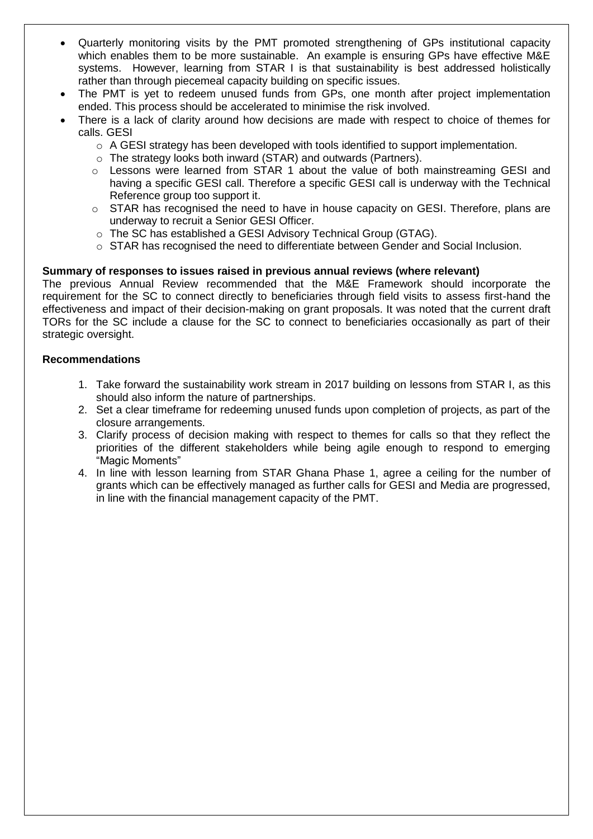- Quarterly monitoring visits by the PMT promoted strengthening of GPs institutional capacity which enables them to be more sustainable. An example is ensuring GPs have effective M&E systems. However, learning from STAR I is that sustainability is best addressed holistically rather than through piecemeal capacity building on specific issues.
- The PMT is yet to redeem unused funds from GPs, one month after project implementation ended. This process should be accelerated to minimise the risk involved.
- There is a lack of clarity around how decisions are made with respect to choice of themes for calls. GESI
	- $\circ$  A GESI strategy has been developed with tools identified to support implementation.
	- o The strategy looks both inward (STAR) and outwards (Partners).
	- $\circ$  Lessons were learned from STAR 1 about the value of both mainstreaming GESI and having a specific GESI call. Therefore a specific GESI call is underway with the Technical Reference group too support it.
	- o STAR has recognised the need to have in house capacity on GESI. Therefore, plans are underway to recruit a Senior GESI Officer.
	- o The SC has established a GESI Advisory Technical Group (GTAG).
	- o STAR has recognised the need to differentiate between Gender and Social Inclusion.

## **Summary of responses to issues raised in previous annual reviews (where relevant)**

The previous Annual Review recommended that the M&E Framework should incorporate the requirement for the SC to connect directly to beneficiaries through field visits to assess first-hand the effectiveness and impact of their decision-making on grant proposals. It was noted that the current draft TORs for the SC include a clause for the SC to connect to beneficiaries occasionally as part of their strategic oversight.

#### **Recommendations**

- 1. Take forward the sustainability work stream in 2017 building on lessons from STAR I, as this should also inform the nature of partnerships.
- 2. Set a clear timeframe for redeeming unused funds upon completion of projects, as part of the closure arrangements.
- 3. Clarify process of decision making with respect to themes for calls so that they reflect the priorities of the different stakeholders while being agile enough to respond to emerging "Magic Moments"
- 4. In line with lesson learning from STAR Ghana Phase 1, agree a ceiling for the number of grants which can be effectively managed as further calls for GESI and Media are progressed, in line with the financial management capacity of the PMT.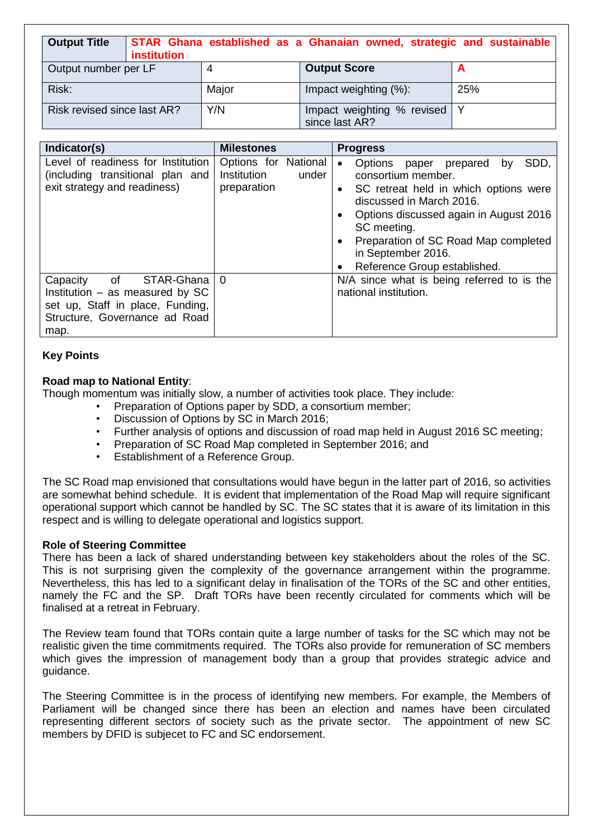| <b>Output Title</b>         | <b>institution</b> |       | STAR Ghana established as a Ghanaian owned, strategic and sustainable |     |
|-----------------------------|--------------------|-------|-----------------------------------------------------------------------|-----|
| Output number per LF        |                    |       | <b>Output Score</b>                                                   |     |
| Risk:                       |                    | Major | Impact weighting (%):                                                 | 25% |
| Risk revised since last AR? |                    | Y/N   | Impact weighting % revised   Y<br>since last AR?                      |     |

| Indicator(s)                                                                                                                                   | <b>Milestones</b>                                           | <b>Progress</b>                                                                                                                                                                                                                                                                                                                                         |
|------------------------------------------------------------------------------------------------------------------------------------------------|-------------------------------------------------------------|---------------------------------------------------------------------------------------------------------------------------------------------------------------------------------------------------------------------------------------------------------------------------------------------------------------------------------------------------------|
| Level of readiness for Institution<br>(including transitional plan and<br>exit strategy and readiness)                                         | Options for National<br>Institution<br>under<br>preparation | SDD,<br>Options paper prepared<br>by<br>$\bullet$<br>consortium member.<br>SC retreat held in which options were<br>$\bullet$<br>discussed in March 2016.<br>Options discussed again in August 2016<br>$\bullet$<br>SC meeting.<br>Preparation of SC Road Map completed<br>$\bullet$<br>in September 2016.<br>Reference Group established.<br>$\bullet$ |
| of<br>STAR-Ghana<br>Capacity<br>Institution $-$ as measured by SC<br>set up, Staff in place, Funding,<br>Structure, Governance ad Road<br>map. | $\Omega$                                                    | N/A since what is being referred to is the<br>national institution.                                                                                                                                                                                                                                                                                     |

# **Key Points**

## **Road map to National Entity**:

Though momentum was initially slow, a number of activities took place. They include:

- Preparation of Options paper by SDD, a consortium member;
- Discussion of Options by SC in March 2016;
- Further analysis of options and discussion of road map held in August 2016 SC meeting;
- Preparation of SC Road Map completed in September 2016; and
- Establishment of a Reference Group.

The SC Road map envisioned that consultations would have begun in the latter part of 2016, so activities are somewhat behind schedule. It is evident that implementation of the Road Map will require significant operational support which cannot be handled by SC. The SC states that it is aware of its limitation in this respect and is willing to delegate operational and logistics support.

#### **Role of Steering Committee**

There has been a lack of shared understanding between key stakeholders about the roles of the SC. This is not surprising given the complexity of the governance arrangement within the programme. Nevertheless, this has led to a significant delay in finalisation of the TORs of the SC and other entities, namely the FC and the SP. Draft TORs have been recently circulated for comments which will be finalised at a retreat in February.

The Review team found that TORs contain quite a large number of tasks for the SC which may not be realistic given the time commitments required. The TORs also provide for remuneration of SC members which gives the impression of management body than a group that provides strategic advice and guidance.

The Steering Committee is in the process of identifying new members. For example, the Members of Parliament will be changed since there has been an election and names have been circulated representing different sectors of society such as the private sector. The appointment of new SC members by DFID is subjecet to FC and SC endorsement.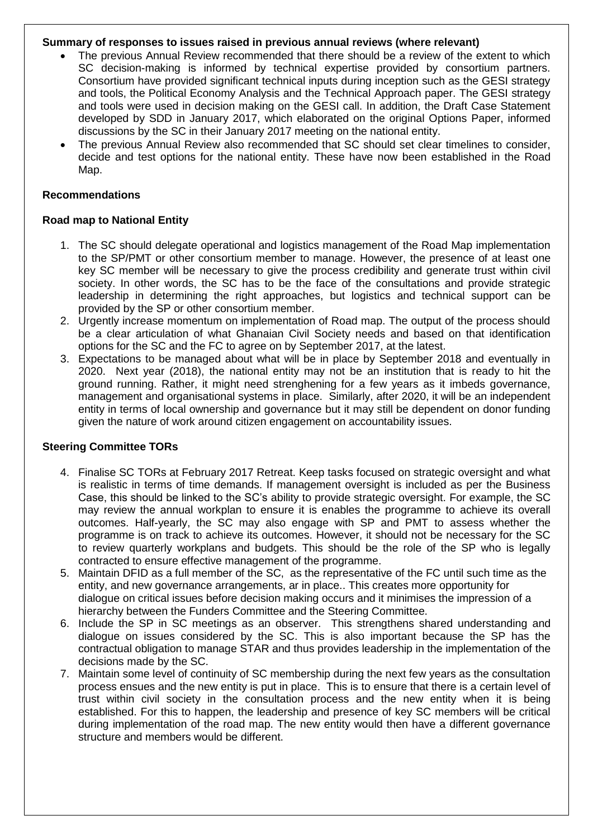#### **Summary of responses to issues raised in previous annual reviews (where relevant)**

- The previous Annual Review recommended that there should be a review of the extent to which SC decision-making is informed by technical expertise provided by consortium partners. Consortium have provided significant technical inputs during inception such as the GESI strategy and tools, the Political Economy Analysis and the Technical Approach paper. The GESI strategy and tools were used in decision making on the GESI call. In addition, the Draft Case Statement developed by SDD in January 2017, which elaborated on the original Options Paper, informed discussions by the SC in their January 2017 meeting on the national entity.
- The previous Annual Review also recommended that SC should set clear timelines to consider, decide and test options for the national entity. These have now been established in the Road Map.

#### **Recommendations**

#### **Road map to National Entity**

- 1. The SC should delegate operational and logistics management of the Road Map implementation to the SP/PMT or other consortium member to manage. However, the presence of at least one key SC member will be necessary to give the process credibility and generate trust within civil society. In other words, the SC has to be the face of the consultations and provide strategic leadership in determining the right approaches, but logistics and technical support can be provided by the SP or other consortium member.
- 2. Urgently increase momentum on implementation of Road map. The output of the process should be a clear articulation of what Ghanaian Civil Society needs and based on that identification options for the SC and the FC to agree on by September 2017, at the latest.
- 3. Expectations to be managed about what will be in place by September 2018 and eventually in 2020. Next year (2018), the national entity may not be an institution that is ready to hit the ground running. Rather, it might need strenghening for a few years as it imbeds governance, management and organisational systems in place. Similarly, after 2020, it will be an independent entity in terms of local ownership and governance but it may still be dependent on donor funding given the nature of work around citizen engagement on accountability issues.

## **Steering Committee TORs**

- 4. Finalise SC TORs at February 2017 Retreat. Keep tasks focused on strategic oversight and what is realistic in terms of time demands. If management oversight is included as per the Business Case, this should be linked to the SC's ability to provide strategic oversight. For example, the SC may review the annual workplan to ensure it is enables the programme to achieve its overall outcomes. Half-yearly, the SC may also engage with SP and PMT to assess whether the programme is on track to achieve its outcomes. However, it should not be necessary for the SC to review quarterly workplans and budgets. This should be the role of the SP who is legally contracted to ensure effective management of the programme.
- 5. Maintain DFID as a full member of the SC, as the representative of the FC until such time as the entity, and new governance arrangements, ar in place.. This creates more opportunity for dialogue on critical issues before decision making occurs and it minimises the impression of a hierarchy between the Funders Committee and the Steering Committee.
- 6. Include the SP in SC meetings as an observer. This strengthens shared understanding and dialogue on issues considered by the SC. This is also important because the SP has the contractual obligation to manage STAR and thus provides leadership in the implementation of the decisions made by the SC.
- 7. Maintain some level of continuity of SC membership during the next few years as the consultation process ensues and the new entity is put in place. This is to ensure that there is a certain level of trust within civil society in the consultation process and the new entity when it is being established. For this to happen, the leadership and presence of key SC members will be critical during implementation of the road map. The new entity would then have a different governance structure and members would be different.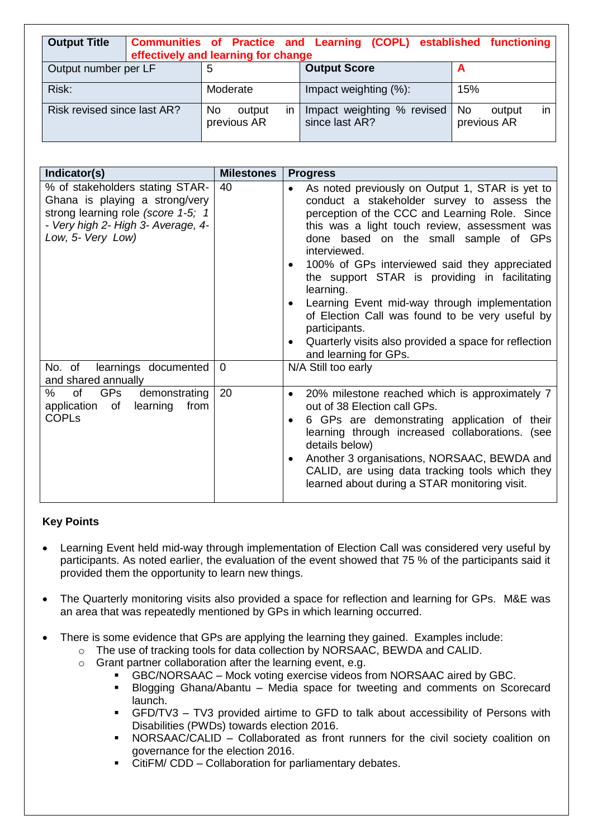| <b>Output Title</b>         | <b>Communities of Practice and Learning (COPL) established functioning</b><br>effectively and learning for change |                                   |                                              |                                    |
|-----------------------------|-------------------------------------------------------------------------------------------------------------------|-----------------------------------|----------------------------------------------|------------------------------------|
| Output number per LF        |                                                                                                                   | 5                                 | <b>Output Score</b>                          |                                    |
| Risk:                       |                                                                                                                   | Moderate                          | Impact weighting (%):                        | 15%                                |
| Risk revised since last AR? |                                                                                                                   | No<br>in<br>output<br>previous AR | Impact weighting % revised<br>since last AR? | No.<br>output<br>ın<br>previous AR |

| Indicator(s)                                                                                                                                                       | <b>Milestones</b> | <b>Progress</b>                                                                                                                                                                                                                                                                                                                                                                                                                                                                                                                                                                                                             |
|--------------------------------------------------------------------------------------------------------------------------------------------------------------------|-------------------|-----------------------------------------------------------------------------------------------------------------------------------------------------------------------------------------------------------------------------------------------------------------------------------------------------------------------------------------------------------------------------------------------------------------------------------------------------------------------------------------------------------------------------------------------------------------------------------------------------------------------------|
| % of stakeholders stating STAR-<br>Ghana is playing a strong/very<br>strong learning role (score 1-5; 1<br>- Very high 2- High 3- Average, 4-<br>Low, 5- Very Low) | 40                | As noted previously on Output 1, STAR is yet to<br>$\bullet$<br>conduct a stakeholder survey to assess the<br>perception of the CCC and Learning Role. Since<br>this was a light touch review, assessment was<br>done based on the small sample of GPs<br>interviewed.<br>100% of GPs interviewed said they appreciated<br>٠<br>the support STAR is providing in facilitating<br>learning.<br>Learning Event mid-way through implementation<br>$\bullet$<br>of Election Call was found to be very useful by<br>participants.<br>Quarterly visits also provided a space for reflection<br>$\bullet$<br>and learning for GPs. |
| No. of learnings documented<br>and shared annually                                                                                                                 | $\mathbf 0$       | N/A Still too early                                                                                                                                                                                                                                                                                                                                                                                                                                                                                                                                                                                                         |
| GPs<br>%<br>of<br>demonstrating<br>learning from<br>application of<br><b>COPLs</b>                                                                                 | 20                | 20% milestone reached which is approximately 7<br>$\bullet$<br>out of 38 Election call GPs.<br>6 GPs are demonstrating application of their<br>$\bullet$<br>learning through increased collaborations. (see<br>details below)<br>Another 3 organisations, NORSAAC, BEWDA and<br>$\bullet$<br>CALID, are using data tracking tools which they<br>learned about during a STAR monitoring visit.                                                                                                                                                                                                                               |

# **Key Points**

- Learning Event held mid-way through implementation of Election Call was considered very useful by participants. As noted earlier, the evaluation of the event showed that 75 % of the participants said it provided them the opportunity to learn new things.
- The Quarterly monitoring visits also provided a space for reflection and learning for GPs. M&E was an area that was repeatedly mentioned by GPs in which learning occurred.
- There is some evidence that GPs are applying the learning they gained. Examples include:
	- o The use of tracking tools for data collection by NORSAAC, BEWDA and CALID.
	- o Grant partner collaboration after the learning event, e.g.
		- GBC/NORSAAC Mock voting exercise videos from NORSAAC aired by GBC.
		- **Blogging Ghana/Abantu Media space for tweeting and comments on Scorecard** launch.
		- GFD/TV3 TV3 provided airtime to GFD to talk about accessibility of Persons with Disabilities (PWDs) towards election 2016.
		- NORSAAC/CALID Collaborated as front runners for the civil society coalition on governance for the election 2016.
		- CitiFM/ CDD Collaboration for parliamentary debates.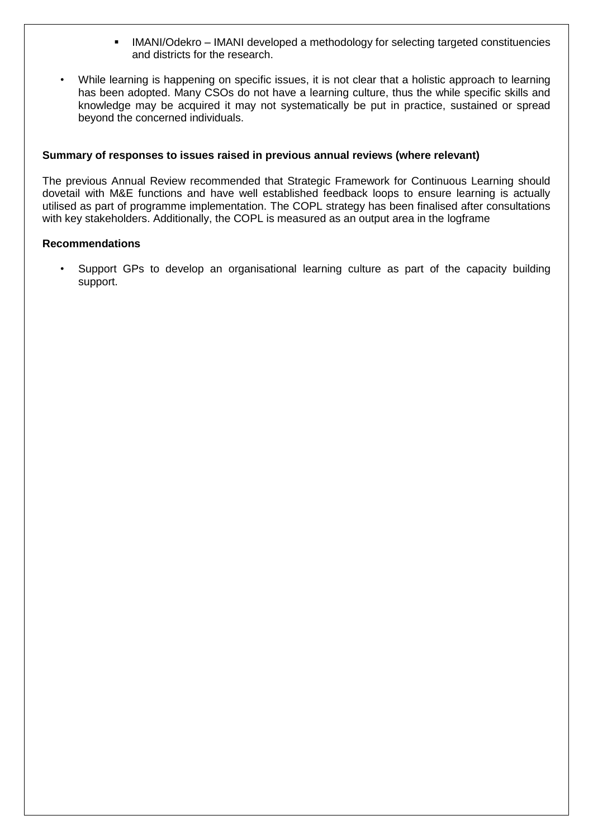- IMANI/Odekro IMANI developed a methodology for selecting targeted constituencies and districts for the research.
- While learning is happening on specific issues, it is not clear that a holistic approach to learning has been adopted. Many CSOs do not have a learning culture, thus the while specific skills and knowledge may be acquired it may not systematically be put in practice, sustained or spread beyond the concerned individuals.

#### **Summary of responses to issues raised in previous annual reviews (where relevant)**

The previous Annual Review recommended that Strategic Framework for Continuous Learning should dovetail with M&E functions and have well established feedback loops to ensure learning is actually utilised as part of programme implementation. The COPL strategy has been finalised after consultations with key stakeholders. Additionally, the COPL is measured as an output area in the logframe

#### **Recommendations**

• Support GPs to develop an organisational learning culture as part of the capacity building support.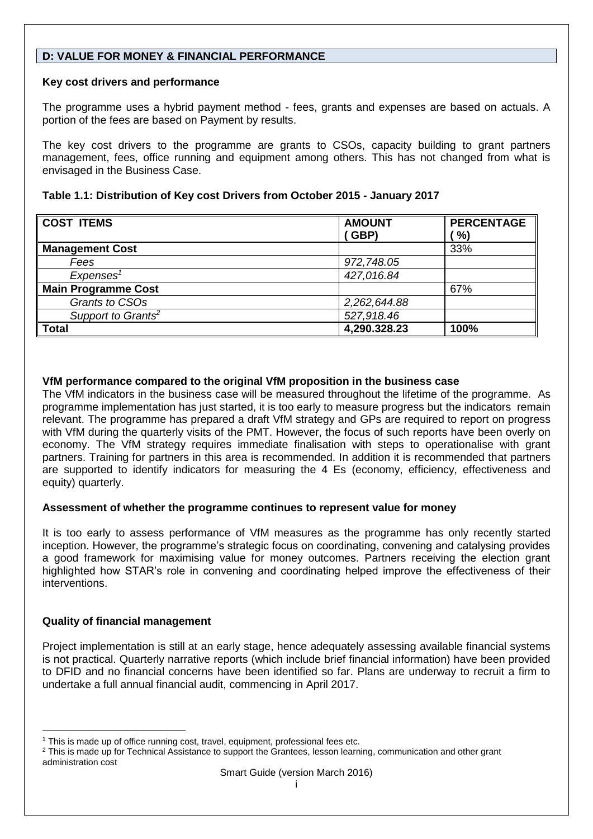# **D: VALUE FOR MONEY & FINANCIAL PERFORMANCE**

# **Key cost drivers and performance**

The programme uses a hybrid payment method - fees, grants and expenses are based on actuals. A portion of the fees are based on Payment by results.

The key cost drivers to the programme are grants to CSOs, capacity building to grant partners management, fees, office running and equipment among others. This has not changed from what is envisaged in the Business Case.

| Table 1.1: Distribution of Key cost Drivers from October 2015 - January 2017 |  |
|------------------------------------------------------------------------------|--|
|------------------------------------------------------------------------------|--|

| <b>COST ITEMS</b>              | <b>AMOUNT</b> | <b>PERCENTAGE</b> |
|--------------------------------|---------------|-------------------|
|                                | (GBP)         | %)                |
| <b>Management Cost</b>         |               | 33%               |
| Fees                           | 972,748.05    |                   |
| Expenses <sup>1</sup>          | 427,016.84    |                   |
| <b>Main Programme Cost</b>     |               | 67%               |
| Grants to CSOs                 | 2,262,644.88  |                   |
| Support to Grants <sup>2</sup> | 527,918.46    |                   |
| <b>Total</b>                   | 4,290.328.23  | 100%              |

# **VfM performance compared to the original VfM proposition in the business case**

The VfM indicators in the business case will be measured throughout the lifetime of the programme. As programme implementation has just started, it is too early to measure progress but the indicators remain relevant. The programme has prepared a draft VfM strategy and GPs are required to report on progress with VfM during the quarterly visits of the PMT. However, the focus of such reports have been overly on economy. The VfM strategy requires immediate finalisation with steps to operationalise with grant partners. Training for partners in this area is recommended. In addition it is recommended that partners are supported to identify indicators for measuring the 4 Es (economy, efficiency, effectiveness and equity) quarterly.

## **Assessment of whether the programme continues to represent value for money**

It is too early to assess performance of VfM measures as the programme has only recently started inception. However, the programme's strategic focus on coordinating, convening and catalysing provides a good framework for maximising value for money outcomes. Partners receiving the election grant highlighted how STAR's role in convening and coordinating helped improve the effectiveness of their interventions.

# **Quality of financial management**

l

Project implementation is still at an early stage, hence adequately assessing available financial systems is not practical. Quarterly narrative reports (which include brief financial information) have been provided to DFID and no financial concerns have been identified so far. Plans are underway to recruit a firm to undertake a full annual financial audit, commencing in April 2017.

<sup>&</sup>lt;sup>1</sup> This is made up of office running cost, travel, equipment, professional fees etc.

<sup>&</sup>lt;sup>2</sup> This is made up for Technical Assistance to support the Grantees, lesson learning, communication and other grant administration cost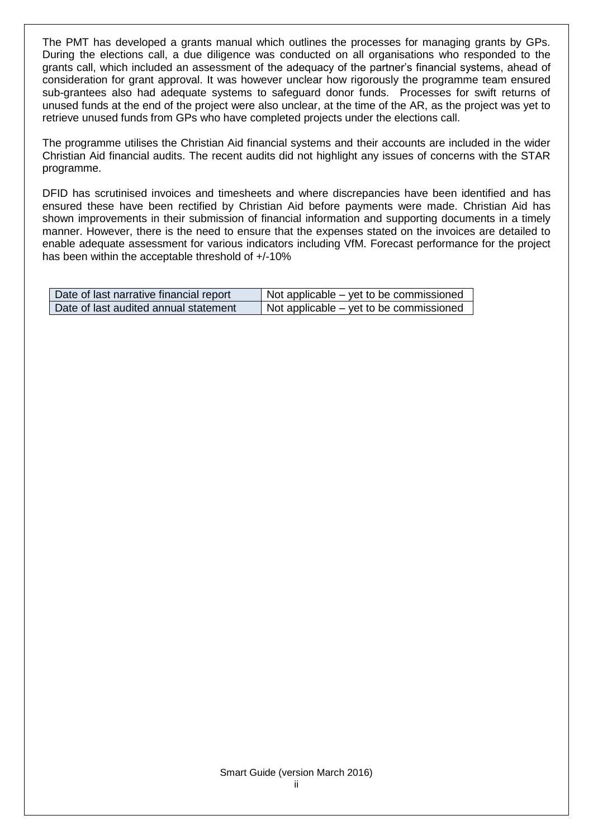The PMT has developed a grants manual which outlines the processes for managing grants by GPs. During the elections call, a due diligence was conducted on all organisations who responded to the grants call, which included an assessment of the adequacy of the partner's financial systems, ahead of consideration for grant approval. It was however unclear how rigorously the programme team ensured sub-grantees also had adequate systems to safeguard donor funds. Processes for swift returns of unused funds at the end of the project were also unclear, at the time of the AR, as the project was yet to retrieve unused funds from GPs who have completed projects under the elections call.

The programme utilises the Christian Aid financial systems and their accounts are included in the wider Christian Aid financial audits. The recent audits did not highlight any issues of concerns with the STAR programme.

DFID has scrutinised invoices and timesheets and where discrepancies have been identified and has ensured these have been rectified by Christian Aid before payments were made. Christian Aid has shown improvements in their submission of financial information and supporting documents in a timely manner. However, there is the need to ensure that the expenses stated on the invoices are detailed to enable adequate assessment for various indicators including VfM. Forecast performance for the project has been within the acceptable threshold of +/-10%

| Date of last narrative financial report | Not applicable – yet to be commissioned |
|-----------------------------------------|-----------------------------------------|
| Date of last audited annual statement   | Not applicable – yet to be commissioned |

#### Smart Guide (version March 2016) ii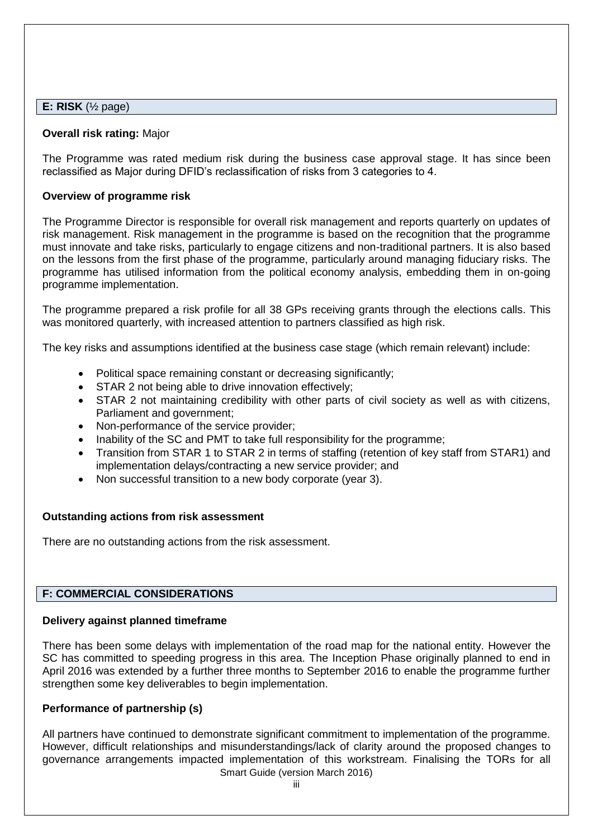#### **E: RISK** (½ page)

#### **Overall risk rating:** Major

The Programme was rated medium risk during the business case approval stage. It has since been reclassified as Major during DFID's reclassification of risks from 3 categories to 4.

#### **Overview of programme risk**

The Programme Director is responsible for overall risk management and reports quarterly on updates of risk management. Risk management in the programme is based on the recognition that the programme must innovate and take risks, particularly to engage citizens and non-traditional partners. It is also based on the lessons from the first phase of the programme, particularly around managing fiduciary risks. The programme has utilised information from the political economy analysis, embedding them in on-going programme implementation.

The programme prepared a risk profile for all 38 GPs receiving grants through the elections calls. This was monitored quarterly, with increased attention to partners classified as high risk.

The key risks and assumptions identified at the business case stage (which remain relevant) include:

- Political space remaining constant or decreasing significantly;
- STAR 2 not being able to drive innovation effectively;
- STAR 2 not maintaining credibility with other parts of civil society as well as with citizens, Parliament and government;
- Non-performance of the service provider;
- Inability of the SC and PMT to take full responsibility for the programme;
- Transition from STAR 1 to STAR 2 in terms of staffing (retention of key staff from STAR1) and implementation delays/contracting a new service provider; and
- Non successful transition to a new body corporate (year 3).

#### **Outstanding actions from risk assessment**

There are no outstanding actions from the risk assessment.

## **F: COMMERCIAL CONSIDERATIONS**

## **Delivery against planned timeframe**

There has been some delays with implementation of the road map for the national entity. However the SC has committed to speeding progress in this area. The Inception Phase originally planned to end in April 2016 was extended by a further three months to September 2016 to enable the programme further strengthen some key deliverables to begin implementation.

## **Performance of partnership (s)**

Smart Guide (version March 2016) All partners have continued to demonstrate significant commitment to implementation of the programme. However, difficult relationships and misunderstandings/lack of clarity around the proposed changes to governance arrangements impacted implementation of this workstream. Finalising the TORs for all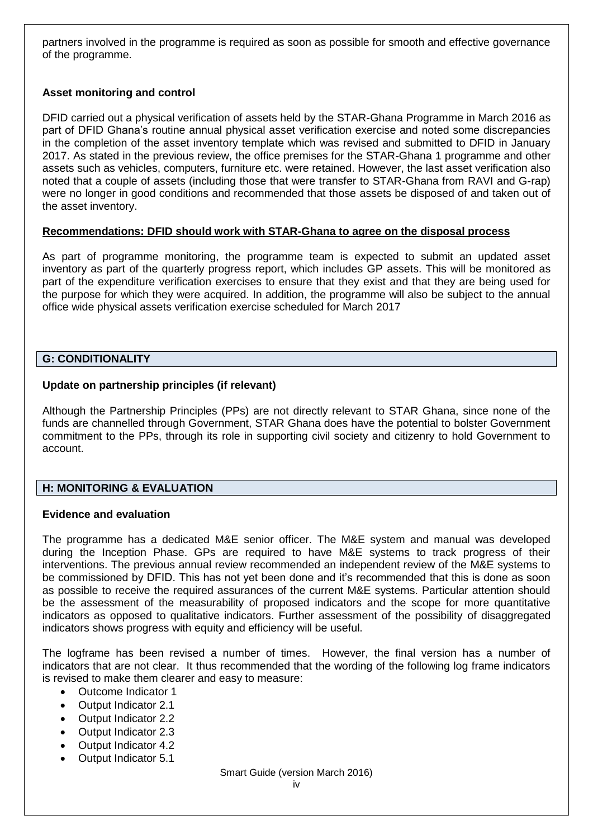partners involved in the programme is required as soon as possible for smooth and effective governance of the programme.

# **Asset monitoring and control**

DFID carried out a physical verification of assets held by the STAR-Ghana Programme in March 2016 as part of DFID Ghana's routine annual physical asset verification exercise and noted some discrepancies in the completion of the asset inventory template which was revised and submitted to DFID in January 2017. As stated in the previous review, the office premises for the STAR-Ghana 1 programme and other assets such as vehicles, computers, furniture etc. were retained. However, the last asset verification also noted that a couple of assets (including those that were transfer to STAR-Ghana from RAVI and G-rap) were no longer in good conditions and recommended that those assets be disposed of and taken out of the asset inventory.

## **Recommendations: DFID should work with STAR-Ghana to agree on the disposal process**

As part of programme monitoring, the programme team is expected to submit an updated asset inventory as part of the quarterly progress report, which includes GP assets. This will be monitored as part of the expenditure verification exercises to ensure that they exist and that they are being used for the purpose for which they were acquired. In addition, the programme will also be subject to the annual office wide physical assets verification exercise scheduled for March 2017

## **G: CONDITIONALITY**

## **Update on partnership principles (if relevant)**

Although the Partnership Principles (PPs) are not directly relevant to STAR Ghana, since none of the funds are channelled through Government, STAR Ghana does have the potential to bolster Government commitment to the PPs, through its role in supporting civil society and citizenry to hold Government to account.

# **H: MONITORING & EVALUATION**

## **Evidence and evaluation**

The programme has a dedicated M&E senior officer. The M&E system and manual was developed during the Inception Phase. GPs are required to have M&E systems to track progress of their interventions. The previous annual review recommended an independent review of the M&E systems to be commissioned by DFID. This has not yet been done and it's recommended that this is done as soon as possible to receive the required assurances of the current M&E systems. Particular attention should be the assessment of the measurability of proposed indicators and the scope for more quantitative indicators as opposed to qualitative indicators. Further assessment of the possibility of disaggregated indicators shows progress with equity and efficiency will be useful.

The logframe has been revised a number of times. However, the final version has a number of indicators that are not clear. It thus recommended that the wording of the following log frame indicators is revised to make them clearer and easy to measure:

- Outcome Indicator 1
- Output Indicator 2.1
- Output Indicator 2.2
- Output Indicator 2.3
- Output Indicator 4.2
- Output Indicator 5.1

Smart Guide (version March 2016)